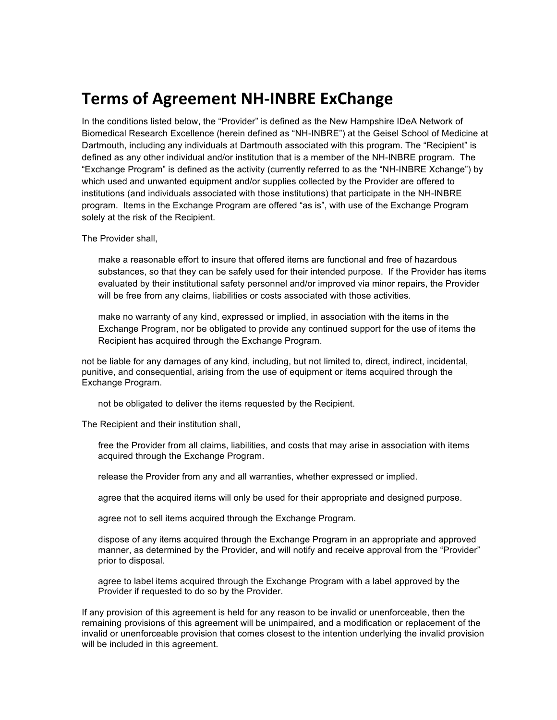## **Terms of Agreement NH-INBRE ExChange**

In the conditions listed below, the "Provider" is defined as the New Hampshire IDeA Network of Biomedical Research Excellence (herein defined as "NH-INBRE") at the Geisel School of Medicine at Dartmouth, including any individuals at Dartmouth associated with this program. The "Recipient" is defined as any other individual and/or institution that is a member of the NH-INBRE program. The "Exchange Program" is defined as the activity (currently referred to as the "NH-INBRE Xchange") by which used and unwanted equipment and/or supplies collected by the Provider are offered to institutions (and individuals associated with those institutions) that participate in the NH-INBRE program. Items in the Exchange Program are offered "as is", with use of the Exchange Program solely at the risk of the Recipient.

The Provider shall,

make a reasonable effort to insure that offered items are functional and free of hazardous substances, so that they can be safely used for their intended purpose. If the Provider has items evaluated by their institutional safety personnel and/or improved via minor repairs, the Provider will be free from any claims, liabilities or costs associated with those activities.

make no warranty of any kind, expressed or implied, in association with the items in the Exchange Program, nor be obligated to provide any continued support for the use of items the Recipient has acquired through the Exchange Program.

not be liable for any damages of any kind, including, but not limited to, direct, indirect, incidental, punitive, and consequential, arising from the use of equipment or items acquired through the Exchange Program.

not be obligated to deliver the items requested by the Recipient.

The Recipient and their institution shall,

free the Provider from all claims, liabilities, and costs that may arise in association with items acquired through the Exchange Program.

release the Provider from any and all warranties, whether expressed or implied.

agree that the acquired items will only be used for their appropriate and designed purpose.

agree not to sell items acquired through the Exchange Program.

dispose of any items acquired through the Exchange Program in an appropriate and approved manner, as determined by the Provider, and will notify and receive approval from the "Provider" prior to disposal.

agree to label items acquired through the Exchange Program with a label approved by the Provider if requested to do so by the Provider.

If any provision of this agreement is held for any reason to be invalid or unenforceable, then the remaining provisions of this agreement will be unimpaired, and a modification or replacement of the invalid or unenforceable provision that comes closest to the intention underlying the invalid provision will be included in this agreement.